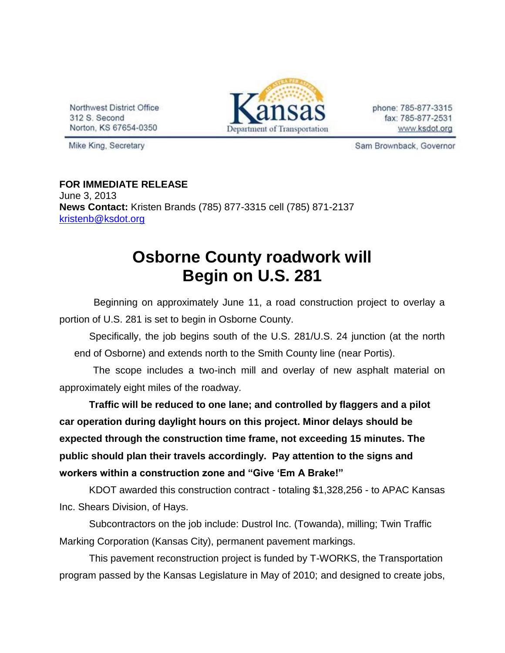Northwest District Office 312 S. Second Norton, KS 67654-0350



phone: 785-877-3315 fax: 785-877-2531 www.ksdot.org

Mike King, Secretary

Sam Brownback, Governor

**FOR IMMEDIATE RELEASE** June 3, 2013 **News Contact:** Kristen Brands (785) 877-3315 cell (785) 871-2137 [kristenb@ksdot.org](mailto:kristenb@ksdot.org)

## **Osborne County roadwork will Begin on U.S. 281**

 Beginning on approximately June 11, a road construction project to overlay a portion of U.S. 281 is set to begin in Osborne County.

 Specifically, the job begins south of the U.S. 281/U.S. 24 junction (at the north end of Osborne) and extends north to the Smith County line (near Portis).

 The scope includes a two-inch mill and overlay of new asphalt material on approximately eight miles of the roadway.

**Traffic will be reduced to one lane; and controlled by flaggers and a pilot car operation during daylight hours on this project. Minor delays should be expected through the construction time frame, not exceeding 15 minutes. The public should plan their travels accordingly. Pay attention to the signs and workers within a construction zone and "Give 'Em A Brake!"**

KDOT awarded this construction contract - totaling \$1,328,256 - to APAC Kansas Inc. Shears Division, of Hays.

Subcontractors on the job include: Dustrol Inc. (Towanda), milling; Twin Traffic Marking Corporation (Kansas City), permanent pavement markings.

This pavement reconstruction project is funded by T-WORKS, the Transportation program passed by the Kansas Legislature in May of 2010; and designed to create jobs,